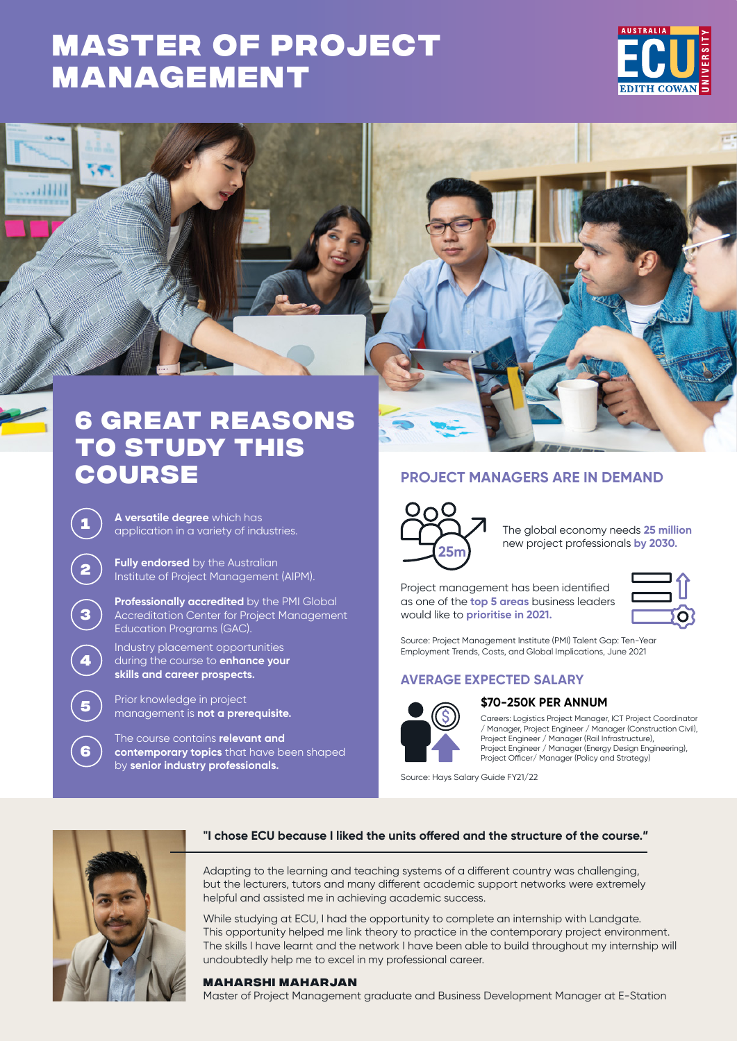# **[MASTER OF PROJECT](https://www.ecu.edu.au/degrees/courses/overview?id=L99)  MANAGEMENT**





# **6 great reasons to study this course PROJECT MANAGERS ARE IN DEMAND**

**<sup>1</sup> A versatile degree** which has application in a variety of industries.

**<sup>2</sup> Fully endorsed** by the Australian Institute of Project Management (AIPM).

**Professionally accredited** by the PMI Global Accreditation Center for Project Management Education Programs (GAC).

Industry placement opportunities during the course to **enhance your skills and career prospects.**

**<sup>5</sup>** Prior knowledge in project management is **not a prerequisite.**

The course contains **relevant and contemporary topics** that have been shaped by **senior industry professionals.**



The global economy needs **25 million**  new project professionals **by 2030.**

Project management has been identified as one of the **top 5 areas** business leaders would like to **prioritise in 2021.**

Source: Project Management Institute (PMI) Talent Gap: Ten-Year Employment Trends, Costs, and Global Implications, June 2021

# **AVERAGE EXPECTED SALARY**



#### **\$70-250K PER ANNUM**

Careers: Logistics Project Manager, ICT Project Coordinator / Manager, Project Engineer / Manager (Construction Civil), Project Engineer / Manager (Rail Infrastructure), Project Engineer / Manager (Energy Design Engineering), Project Officer/ Manager (Policy and Strategy)

Source: Hays Salary Guide FY21/22



**3**

**4**

**6**

#### **"I chose ECU because I liked the units offered and the structure of the course."**

Adapting to the learning and teaching systems of a different country was challenging, but the lecturers, tutors and many different academic support networks were extremely helpful and assisted me in achieving academic success.

While studying at ECU, I had the opportunity to complete an internship with Landgate. This opportunity helped me link theory to practice in the contemporary project environment. The skills I have learnt and the network I have been able to build throughout my internship will undoubtedly help me to excel in my professional career.

#### **Maharshi Maharjan**

Master of Project Management graduate and Business Development Manager at E-Station